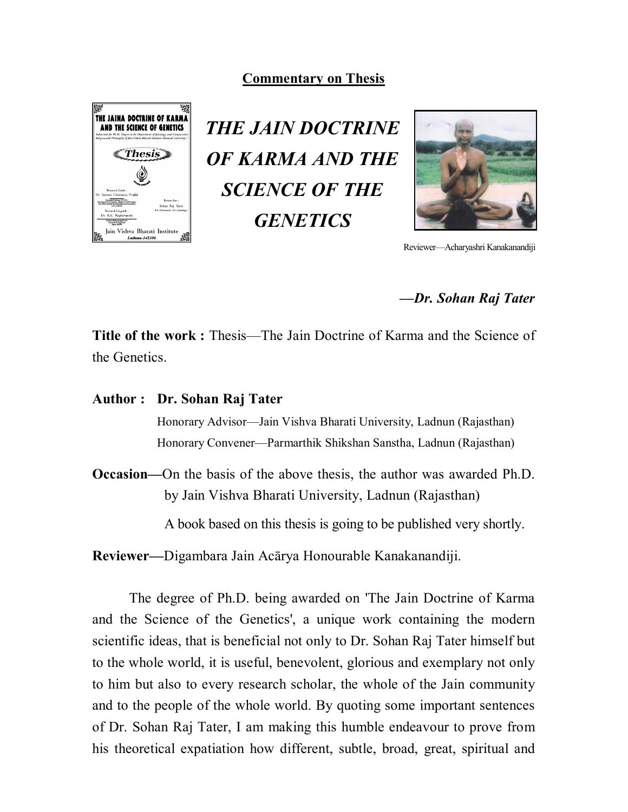## **Commentary on Thesis**



*THE JAIN DOCTRINE OF KARMA AND THE SCIENCE OF THE GENETICS*



Reviewer—Acharyashri Kanakanandiji

### *—Dr. Sohan Raj Tater*

**Title of the work :** Thesis—The Jain Doctrine of Karma and the Science of the Genetics.

### **Author : Dr. Sohan Raj Tater**

Honorary Advisor—Jain Vishva Bharati University, Ladnun (Rajasthan) Honorary Convener—Parmarthik Shikshan Sanstha, Ladnun (Rajasthan)

**Occasion—**On the basis of the above thesis, the author was awarded Ph.D. by Jain Vishva Bharati University, Ladnun (Rajasthan)

A book based on this thesis is going to be published very shortly.

**Reviewer—**Digambara Jain Acārya Honourable Kanakanandiji.

The degree of Ph.D. being awarded on 'The Jain Doctrine of Karma and the Science of the Genetics', a unique work containing the modern scientific ideas, that is beneficial not only to Dr. Sohan Raj Tater himself but to the whole world, it is useful, benevolent, glorious and exemplary not only to him but also to every research scholar, the whole of the Jain community and to the people of the whole world. By quoting some important sentences of Dr. Sohan Raj Tater, I am making this humble endeavour to prove from his theoretical expatiation how different, subtle, broad, great, spiritual and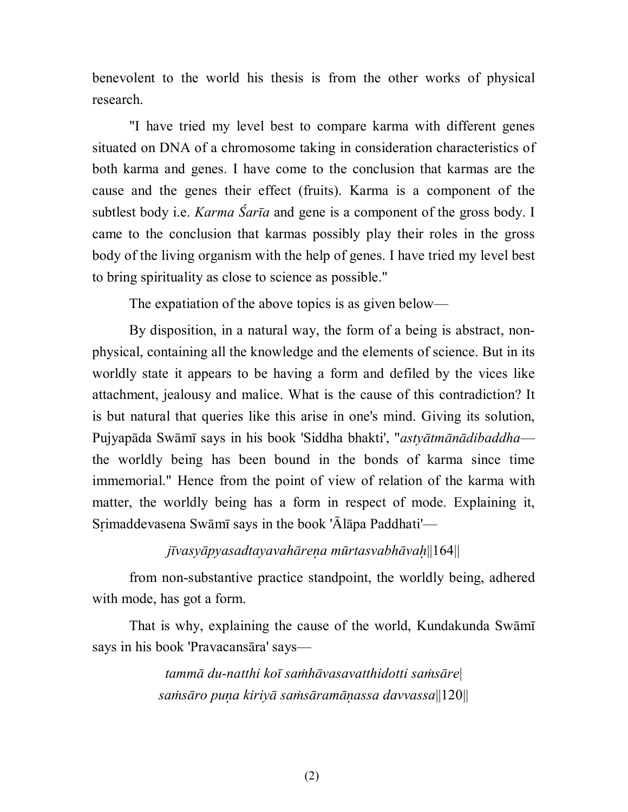benevolent to the world his thesis is from the other works of physical research.

"I have tried my level best to compare karma with different genes situated on DNA of a chromosome taking in consideration characteristics of both karma and genes. I have come to the conclusion that karmas are the cause and the genes their effect (fruits). Karma is a component of the subtlest body i.e. *Karma Śarīa* and gene is a component of the gross body. I came to the conclusion that karmas possibly play their roles in the gross body of the living organism with the help of genes. I have tried my level best to bring spirituality as close to science as possible."

The expatiation of the above topics is as given below—

By disposition, in a natural way, the form of a being is abstract, nonphysical, containing all the knowledge and the elements of science. But in its worldly state it appears to be having a form and defiled by the vices like attachment, jealousy and malice. What is the cause of this contradiction? It is but natural that queries like this arise in one's mind. Giving its solution, Pujyapāda Swāmī says in his book 'Siddha bhakti', "*astyātmānādibaddha* the worldly being has been bound in the bonds of karma since time immemorial." Hence from the point of view of relation of the karma with matter, the worldly being has a form in respect of mode. Explaining it, Srimaddevasena Swāmī says in the book ' $\bar{A}$ lāpa Paddhati'—

### *jvasypyasadtayavahrea mrtasvabhva*||164||

from non-substantive practice standpoint, the worldly being, adhered with mode, has got a form.

That is why, explaining the cause of the world, Kundakunda Swāmī says in his book 'Pravacansāra' says—

> *tamm du-natthi ko sahvasavatthidotti sasre*| *sasro pua kiriy sasramassa davvassa*||120||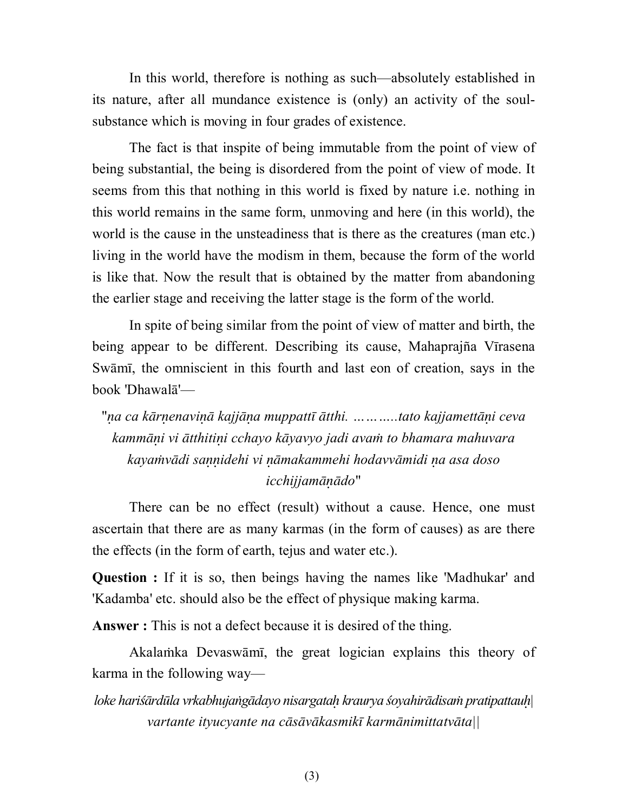In this world, therefore is nothing as such—absolutely established in its nature, after all mundance existence is (only) an activity of the soulsubstance which is moving in four grades of existence.

The fact is that inspite of being immutable from the point of view of being substantial, the being is disordered from the point of view of mode. It seems from this that nothing in this world is fixed by nature i.e. nothing in this world remains in the same form, unmoving and here (in this world), the world is the cause in the unsteadiness that is there as the creatures (man etc.) living in the world have the modism in them, because the form of the world is like that. Now the result that is obtained by the matter from abandoning the earlier stage and receiving the latter stage is the form of the world.

In spite of being similar from the point of view of matter and birth, the being appear to be different. Describing its cause, Mahaprajña Vīrasena Swāmī, the omniscient in this fourth and last eon of creation, says in the book 'Dhawal'—

"*a ca krenavi kajja muppatt tthi. ………..tato kajjametti ceva kammi vi tthitii cchayo kyavyo jadi ava to bhamara mahuvara kayavdi saidehi vi makammehi hodavvmidi a asa doso icchijjamdo*"

There can be no effect (result) without a cause. Hence, one must ascertain that there are as many karmas (in the form of causes) as are there the effects (in the form of earth, tejus and water etc.).

**Question :** If it is so, then beings having the names like 'Madhukar' and 'Kadamba' etc. should also be the effect of physique making karma.

**Answer :** This is not a defect because it is desired of the thing.

Akalamka Devaswāmī, the great logician explains this theory of karma in the following way—

*loke harirdla vrkabhujagdayo nisargata kraurya oyahirdisa pratipattau| vartante ityucyante na csvkasmik karmnimittatvta||*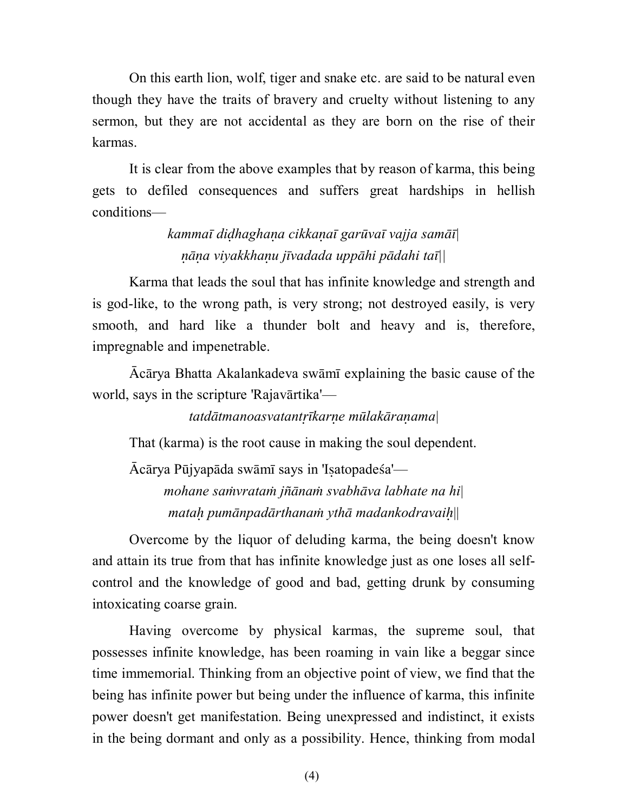On this earth lion, wolf, tiger and snake etc. are said to be natural even though they have the traits of bravery and cruelty without listening to any sermon, but they are not accidental as they are born on the rise of their karmas.

It is clear from the above examples that by reason of karma, this being gets to defiled consequences and suffers great hardships in hellish conditions—

# *kamma dihaghaa cikkaa garva vajja sam| a viyakkhau jvadada upphi pdahi ta||*

Karma that leads the soul that has infinite knowledge and strength and is god-like, to the wrong path, is very strong; not destroyed easily, is very smooth, and hard like a thunder bolt and heavy and is, therefore, impregnable and impenetrable.

 $\bar{A}c\bar{a}rya$  Bhatta Akalankadeva sw $\bar{a}m\bar{b}$  explaining the basic cause of the world, says in the scripture 'Rajavārtika'—

## *tatdtmanoasvatantkare mlakraama*|

That (karma) is the root cause in making the soul dependent.

Ācārya Pūjyapāda swāmī says in 'Isatopadeśa' *mohane savrata jna svabhva labhate na hi*| *mata pumnpadrthana yth madankodravai*||

Overcome by the liquor of deluding karma, the being doesn't know and attain its true from that has infinite knowledge just as one loses all selfcontrol and the knowledge of good and bad, getting drunk by consuming intoxicating coarse grain.

Having overcome by physical karmas, the supreme soul, that possesses infinite knowledge, has been roaming in vain like a beggar since time immemorial. Thinking from an objective point of view, we find that the being has infinite power but being under the influence of karma, this infinite power doesn't get manifestation. Being unexpressed and indistinct, it exists in the being dormant and only as a possibility. Hence, thinking from modal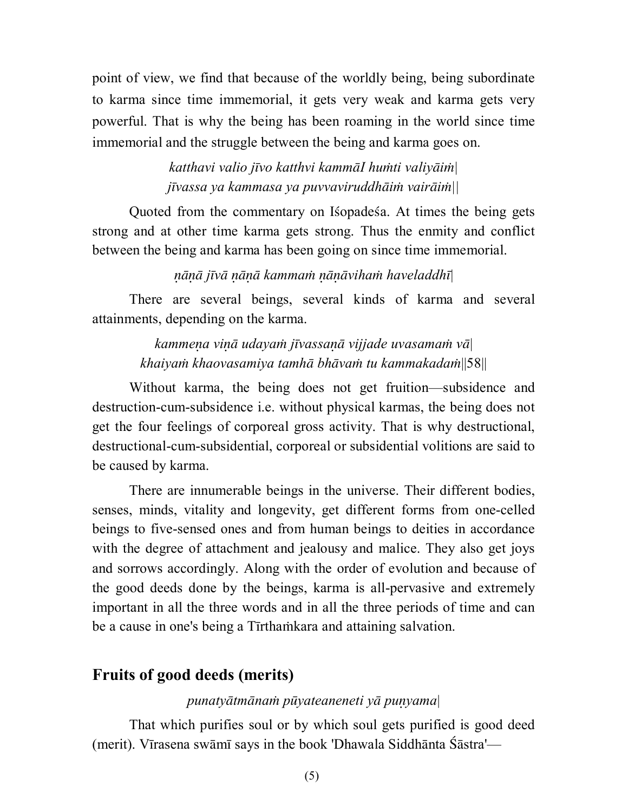point of view, we find that because of the worldly being, being subordinate to karma since time immemorial, it gets very weak and karma gets very powerful. That is why the being has been roaming in the world since time immemorial and the struggle between the being and karma goes on.

> *katthavi valio jvo katthvi kammI huti valiyi| jvassa ya kammasa ya puvvaviruddhi vairi||*

Quoted from the commentary on Isopades a. At times the being gets strong and at other time karma gets strong. Thus the enmity and conflict between the being and karma has been going on since time immemorial.

### *jv kamma viha haveladdh*|

There are several beings, several kinds of karma and several attainments, depending on the karma.

> *kammea vi udaya jvassa vijjade uvasama v*| *khaiya khaovasamiya tamh bhva tu kammakada*||58||

Without karma, the being does not get fruition—subsidence and destruction-cum-subsidence i.e. without physical karmas, the being does not get the four feelings of corporeal gross activity. That is why destructional, destructional-cum-subsidential, corporeal or subsidential volitions are said to be caused by karma.

There are innumerable beings in the universe. Their different bodies, senses, minds, vitality and longevity, get different forms from one-celled beings to five-sensed ones and from human beings to deities in accordance with the degree of attachment and jealousy and malice. They also get joys and sorrows accordingly. Along with the order of evolution and because of the good deeds done by the beings, karma is all-pervasive and extremely important in all the three words and in all the three periods of time and can be a cause in one's being a Tīrthamkara and attaining salvation.

# **Fruits of good deeds (merits)**

### *punatytmna pyateaneneti y puyama*|

That which purifies soul or by which soul gets purified is good deed (merit). Vīrasena swāmī says in the book 'Dhawala Siddhānta Śāstra'—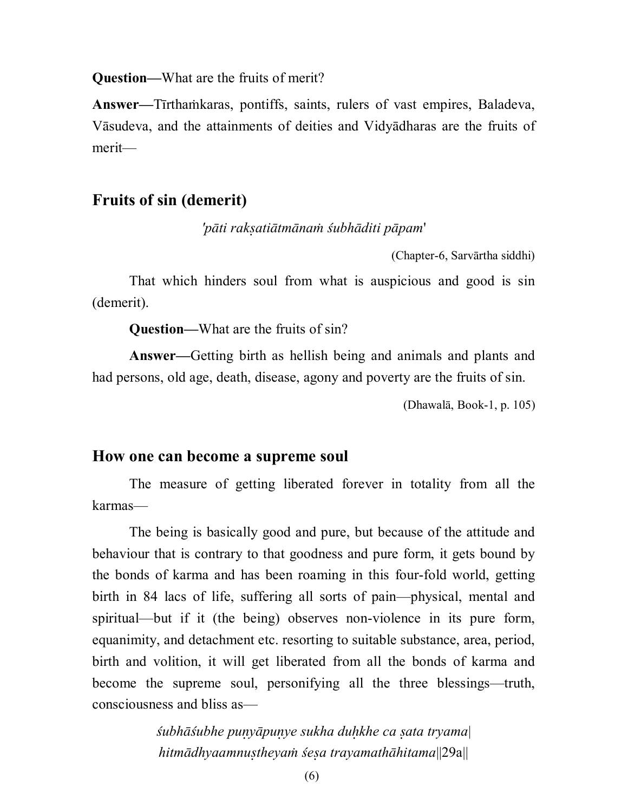**Question—**What are the fruits of merit?

Answer—Tirthamkaras, pontiffs, saints, rulers of vast empires, Baladeva, Vāsudeva, and the attainments of deities and Vidyadharas are the fruits of merit—

# **Fruits of sin (demerit)**

*'pti rakatitmna ubhditi ppam*'

(Chapter-6, Sarvārtha siddhi)

That which hinders soul from what is auspicious and good is sin (demerit).

**Question—**What are the fruits of sin?

**Answer—**Getting birth as hellish being and animals and plants and had persons, old age, death, disease, agony and poverty are the fruits of sin.

(Dhawalā, Book-1, p. 105)

### **How one can become a supreme soul**

The measure of getting liberated forever in totality from all the karmas—

The being is basically good and pure, but because of the attitude and behaviour that is contrary to that goodness and pure form, it gets bound by the bonds of karma and has been roaming in this four-fold world, getting birth in 84 lacs of life, suffering all sorts of pain—physical, mental and spiritual—but if it (the being) observes non-violence in its pure form, equanimity, and detachment etc. resorting to suitable substance, area, period, birth and volition, it will get liberated from all the bonds of karma and become the supreme soul, personifying all the three blessings—truth, consciousness and bliss as—

> *ubhubhe puypuye sukha dukhe ca ata tryama*| *hitmdhyaamnutheya ea trayamathhitama*||29a||